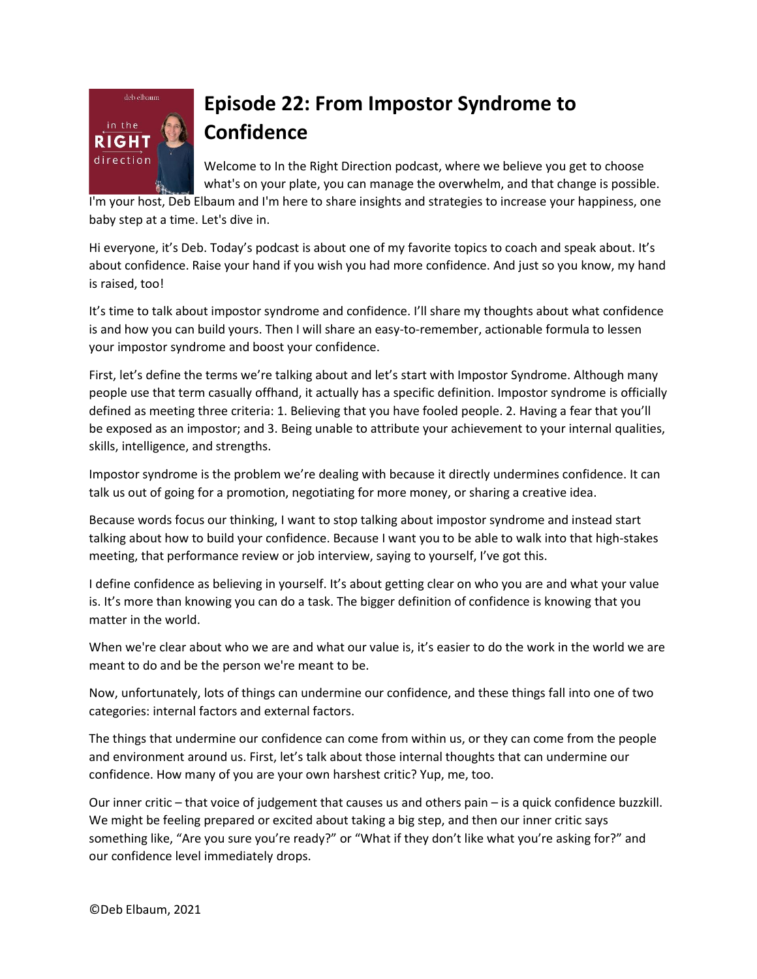

## **Episode 22: From Impostor Syndrome to Confidence**

Welcome to In the Right Direction podcast, where we believe you get to choose what's on your plate, you can manage the overwhelm, and that change is possible.

I'm your host, Deb Elbaum and I'm here to share insights and strategies to increase your happiness, one baby step at a time. Let's dive in.

Hi everyone, it's Deb. Today's podcast is about one of my favorite topics to coach and speak about. It's about confidence. Raise your hand if you wish you had more confidence. And just so you know, my hand is raised, too!

It's time to talk about impostor syndrome and confidence. I'll share my thoughts about what confidence is and how you can build yours. Then I will share an easy-to-remember, actionable formula to lessen your impostor syndrome and boost your confidence.

First, let's define the terms we're talking about and let's start with Impostor Syndrome. Although many people use that term casually offhand, it actually has a specific definition. Impostor syndrome is officially defined as meeting three criteria: 1. Believing that you have fooled people. 2. Having a fear that you'll be exposed as an impostor; and 3. Being unable to attribute your achievement to your internal qualities, skills, intelligence, and strengths.

Impostor syndrome is the problem we're dealing with because it directly undermines confidence. It can talk us out of going for a promotion, negotiating for more money, or sharing a creative idea.

Because words focus our thinking, I want to stop talking about impostor syndrome and instead start talking about how to build your confidence. Because I want you to be able to walk into that high-stakes meeting, that performance review or job interview, saying to yourself, I've got this.

I define confidence as believing in yourself. It's about getting clear on who you are and what your value is. It's more than knowing you can do a task. The bigger definition of confidence is knowing that you matter in the world.

When we're clear about who we are and what our value is, it's easier to do the work in the world we are meant to do and be the person we're meant to be.

Now, unfortunately, lots of things can undermine our confidence, and these things fall into one of two categories: internal factors and external factors.

The things that undermine our confidence can come from within us, or they can come from the people and environment around us. First, let's talk about those internal thoughts that can undermine our confidence. How many of you are your own harshest critic? Yup, me, too.

Our inner critic – that voice of judgement that causes us and others pain – is a quick confidence buzzkill. We might be feeling prepared or excited about taking a big step, and then our inner critic says something like, "Are you sure you're ready?" or "What if they don't like what you're asking for?" and our confidence level immediately drops.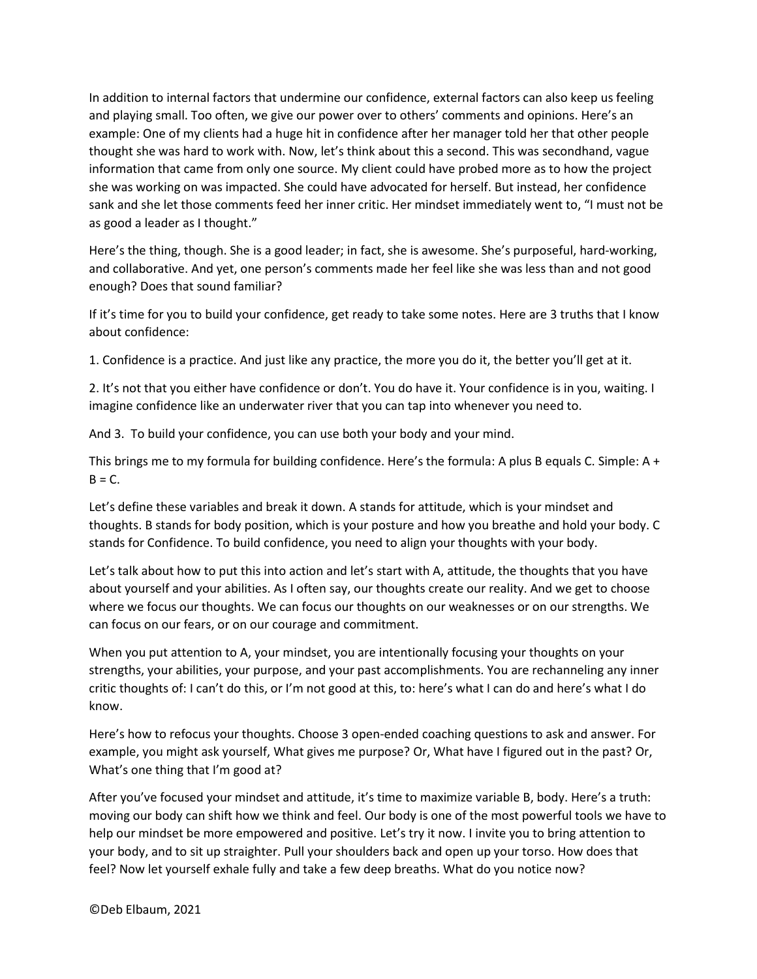In addition to internal factors that undermine our confidence, external factors can also keep us feeling and playing small. Too often, we give our power over to others' comments and opinions. Here's an example: One of my clients had a huge hit in confidence after her manager told her that other people thought she was hard to work with. Now, let's think about this a second. This was secondhand, vague information that came from only one source. My client could have probed more as to how the project she was working on was impacted. She could have advocated for herself. But instead, her confidence sank and she let those comments feed her inner critic. Her mindset immediately went to, "I must not be as good a leader as I thought."

Here's the thing, though. She is a good leader; in fact, she is awesome. She's purposeful, hard-working, and collaborative. And yet, one person's comments made her feel like she was less than and not good enough? Does that sound familiar?

If it's time for you to build your confidence, get ready to take some notes. Here are 3 truths that I know about confidence:

1. Confidence is a practice. And just like any practice, the more you do it, the better you'll get at it.

2. It's not that you either have confidence or don't. You do have it. Your confidence is in you, waiting. I imagine confidence like an underwater river that you can tap into whenever you need to.

And 3. To build your confidence, you can use both your body and your mind.

This brings me to my formula for building confidence. Here's the formula: A plus B equals C. Simple: A +  $B = C$ .

Let's define these variables and break it down. A stands for attitude, which is your mindset and thoughts. B stands for body position, which is your posture and how you breathe and hold your body. C stands for Confidence. To build confidence, you need to align your thoughts with your body.

Let's talk about how to put this into action and let's start with A, attitude, the thoughts that you have about yourself and your abilities. As I often say, our thoughts create our reality. And we get to choose where we focus our thoughts. We can focus our thoughts on our weaknesses or on our strengths. We can focus on our fears, or on our courage and commitment.

When you put attention to A, your mindset, you are intentionally focusing your thoughts on your strengths, your abilities, your purpose, and your past accomplishments. You are rechanneling any inner critic thoughts of: I can't do this, or I'm not good at this, to: here's what I can do and here's what I do know.

Here's how to refocus your thoughts. Choose 3 open-ended coaching questions to ask and answer. For example, you might ask yourself, What gives me purpose? Or, What have I figured out in the past? Or, What's one thing that I'm good at?

After you've focused your mindset and attitude, it's time to maximize variable B, body. Here's a truth: moving our body can shift how we think and feel. Our body is one of the most powerful tools we have to help our mindset be more empowered and positive. Let's try it now. I invite you to bring attention to your body, and to sit up straighter. Pull your shoulders back and open up your torso. How does that feel? Now let yourself exhale fully and take a few deep breaths. What do you notice now?